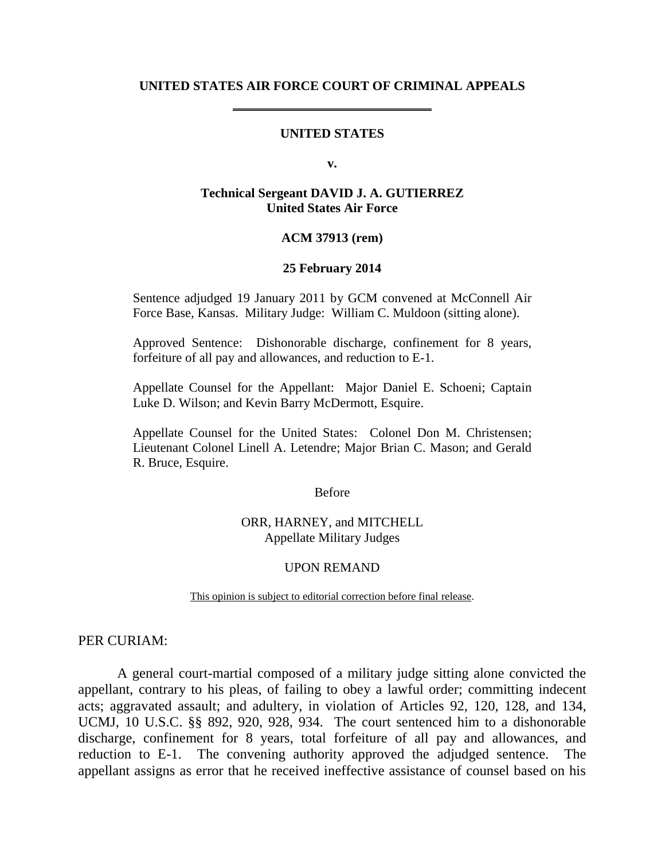#### **UNITED STATES AIR FORCE COURT OF CRIMINAL APPEALS**

#### **UNITED STATES**

**v.**

### **Technical Sergeant DAVID J. A. GUTIERREZ United States Air Force**

### **ACM 37913 (rem)**

#### **25 February 2014**

Sentence adjudged 19 January 2011 by GCM convened at McConnell Air Force Base, Kansas. Military Judge: William C. Muldoon (sitting alone).

Approved Sentence: Dishonorable discharge, confinement for 8 years, forfeiture of all pay and allowances, and reduction to E-1.

Appellate Counsel for the Appellant: Major Daniel E. Schoeni; Captain Luke D. Wilson; and Kevin Barry McDermott, Esquire.

Appellate Counsel for the United States: Colonel Don M. Christensen; Lieutenant Colonel Linell A. Letendre; Major Brian C. Mason; and Gerald R. Bruce, Esquire.

Before

ORR, HARNEY, and MITCHELL Appellate Military Judges

#### UPON REMAND

This opinion is subject to editorial correction before final release.

### PER CURIAM:

A general court-martial composed of a military judge sitting alone convicted the appellant, contrary to his pleas, of failing to obey a lawful order; committing indecent acts; aggravated assault; and adultery, in violation of Articles 92, 120, 128, and 134, UCMJ, 10 U.S.C. §§ 892, 920, 928, 934. The court sentenced him to a dishonorable discharge, confinement for 8 years, total forfeiture of all pay and allowances, and reduction to E-1. The convening authority approved the adjudged sentence. The appellant assigns as error that he received ineffective assistance of counsel based on his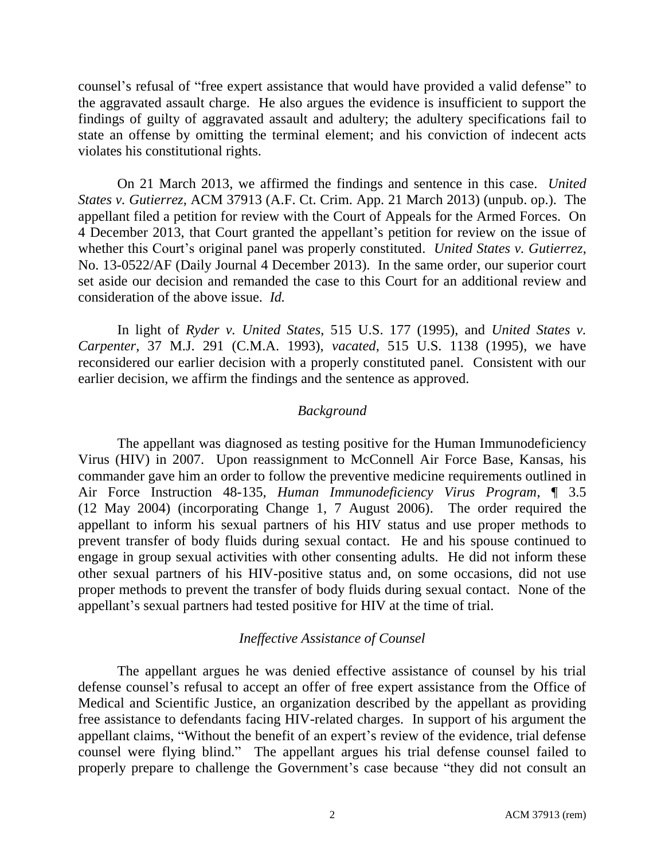counsel's refusal of "free expert assistance that would have provided a valid defense" to the aggravated assault charge. He also argues the evidence is insufficient to support the findings of guilty of aggravated assault and adultery; the adultery specifications fail to state an offense by omitting the terminal element; and his conviction of indecent acts violates his constitutional rights.

On 21 March 2013, we affirmed the findings and sentence in this case. *United States v. Gutierrez*, ACM 37913 (A.F. Ct. Crim. App. 21 March 2013) (unpub. op.). The appellant filed a petition for review with the Court of Appeals for the Armed Forces. On 4 December 2013, that Court granted the appellant's petition for review on the issue of whether this Court's original panel was properly constituted. *United States v. Gutierrez*, No. 13-0522/AF (Daily Journal 4 December 2013). In the same order, our superior court set aside our decision and remanded the case to this Court for an additional review and consideration of the above issue. *Id.*

In light of *Ryder v. United States*, 515 U.S. 177 (1995), and *United States v. Carpenter*, 37 M.J. 291 (C.M.A. 1993), *vacated*, 515 U.S. 1138 (1995), we have reconsidered our earlier decision with a properly constituted panel. Consistent with our earlier decision, we affirm the findings and the sentence as approved.

# *Background*

The appellant was diagnosed as testing positive for the Human Immunodeficiency Virus (HIV) in 2007. Upon reassignment to McConnell Air Force Base, Kansas, his commander gave him an order to follow the preventive medicine requirements outlined in Air Force Instruction 48-135, *Human Immunodeficiency Virus Program*, ¶ 3.5 (12 May 2004) (incorporating Change 1, 7 August 2006). The order required the appellant to inform his sexual partners of his HIV status and use proper methods to prevent transfer of body fluids during sexual contact. He and his spouse continued to engage in group sexual activities with other consenting adults. He did not inform these other sexual partners of his HIV-positive status and, on some occasions, did not use proper methods to prevent the transfer of body fluids during sexual contact. None of the appellant's sexual partners had tested positive for HIV at the time of trial.

# *Ineffective Assistance of Counsel*

The appellant argues he was denied effective assistance of counsel by his trial defense counsel's refusal to accept an offer of free expert assistance from the Office of Medical and Scientific Justice, an organization described by the appellant as providing free assistance to defendants facing HIV-related charges. In support of his argument the appellant claims, "Without the benefit of an expert's review of the evidence, trial defense counsel were flying blind." The appellant argues his trial defense counsel failed to properly prepare to challenge the Government's case because "they did not consult an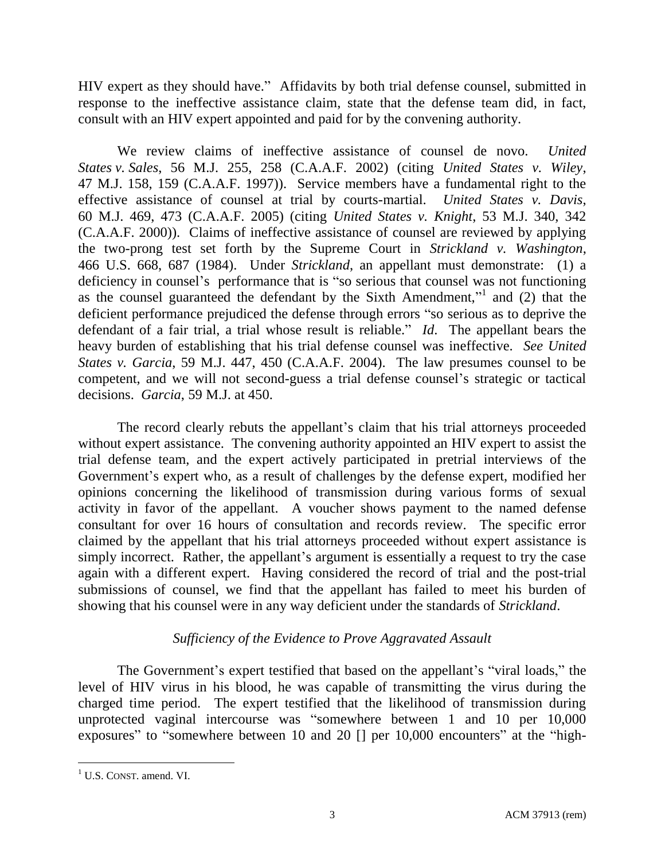HIV expert as they should have." Affidavits by both trial defense counsel, submitted in response to the ineffective assistance claim, state that the defense team did, in fact, consult with an HIV expert appointed and paid for by the convening authority.

We review claims of ineffective assistance of counsel de novo. *United States v. Sales*, 56 M.J. 255, 258 (C.A.A.F. 2002) (citing *United States v. Wiley*, 47 M.J. 158, 159 (C.A.A.F. 1997)). Service members have a fundamental right to the effective assistance of counsel at trial by courts-martial. *United States v. Davis*, 60 M.J. 469, 473 (C.A.A.F. 2005) (citing *United States v. Knight*, 53 M.J. 340, 342 (C.A.A.F. 2000)). Claims of ineffective assistance of counsel are reviewed by applying the two-prong test set forth by the Supreme Court in *Strickland v. Washington*, 466 U.S. 668, 687 (1984). Under *Strickland*, an appellant must demonstrate: (1) a deficiency in counsel's performance that is "so serious that counsel was not functioning as the counsel guaranteed the defendant by the Sixth Amendment,"<sup>1</sup> and (2) that the deficient performance prejudiced the defense through errors "so serious as to deprive the defendant of a fair trial, a trial whose result is reliable." *Id*. The appellant bears the heavy burden of establishing that his trial defense counsel was ineffective. *See United States v. Garcia*, 59 M.J. 447, 450 (C.A.A.F. 2004). The law presumes counsel to be competent, and we will not second-guess a trial defense counsel's strategic or tactical decisions. *Garcia*, 59 M.J. at 450.

The record clearly rebuts the appellant's claim that his trial attorneys proceeded without expert assistance. The convening authority appointed an HIV expert to assist the trial defense team, and the expert actively participated in pretrial interviews of the Government's expert who, as a result of challenges by the defense expert, modified her opinions concerning the likelihood of transmission during various forms of sexual activity in favor of the appellant. A voucher shows payment to the named defense consultant for over 16 hours of consultation and records review. The specific error claimed by the appellant that his trial attorneys proceeded without expert assistance is simply incorrect. Rather, the appellant's argument is essentially a request to try the case again with a different expert. Having considered the record of trial and the post-trial submissions of counsel, we find that the appellant has failed to meet his burden of showing that his counsel were in any way deficient under the standards of *Strickland*.

# *Sufficiency of the Evidence to Prove Aggravated Assault*

The Government's expert testified that based on the appellant's "viral loads," the level of HIV virus in his blood, he was capable of transmitting the virus during the charged time period. The expert testified that the likelihood of transmission during unprotected vaginal intercourse was "somewhere between 1 and 10 per 10,000 exposures" to "somewhere between 10 and 20 [] per 10,000 encounters" at the "high-

 $<sup>1</sup>$  U.S. CONST. amend. VI.</sup>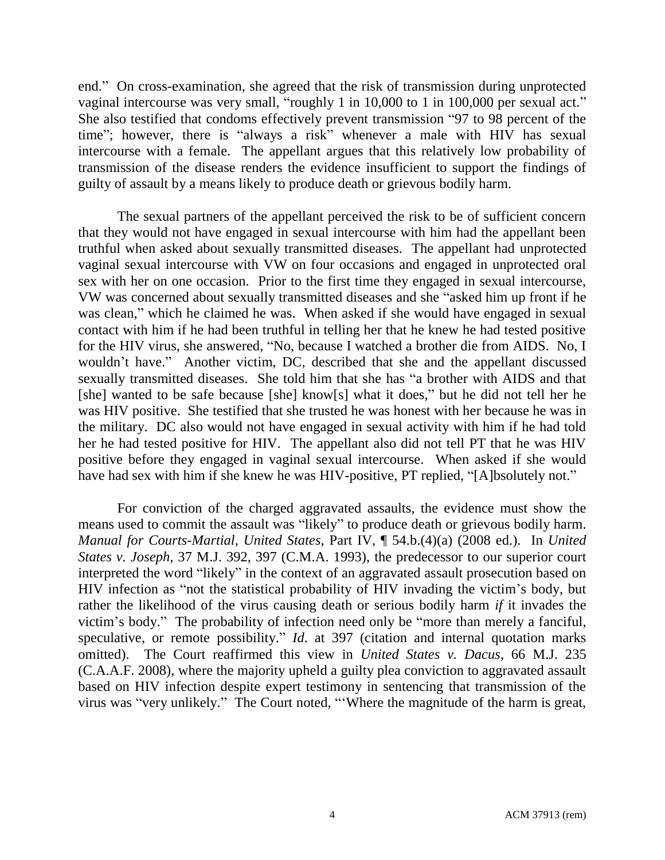end." On cross-examination, she agreed that the risk of transmission during unprotected vaginal intercourse was very small, "roughly 1 in 10,000 to 1 in 100,000 per sexual act." She also testified that condoms effectively prevent transmission "97 to 98 percent of the time"; however, there is "always a risk" whenever a male with HIV has sexual intercourse with a female. The appellant argues that this relatively low probability of transmission of the disease renders the evidence insufficient to support the findings of guilty of assault by a means likely to produce death or grievous bodily harm.

The sexual partners of the appellant perceived the risk to be of sufficient concern that they would not have engaged in sexual intercourse with him had the appellant been truthful when asked about sexually transmitted diseases. The appellant had unprotected vaginal sexual intercourse with VW on four occasions and engaged in unprotected oral sex with her on one occasion. Prior to the first time they engaged in sexual intercourse, VW was concerned about sexually transmitted diseases and she "asked him up front if he was clean," which he claimed he was. When asked if she would have engaged in sexual contact with him if he had been truthful in telling her that he knew he had tested positive for the HIV virus, she answered, "No, because I watched a brother die from AIDS. No, I wouldn't have." Another victim, DC, described that she and the appellant discussed sexually transmitted diseases. She told him that she has "a brother with AIDS and that [she] wanted to be safe because [she] know[s] what it does," but he did not tell her he was HIV positive. She testified that she trusted he was honest with her because he was in the military. DC also would not have engaged in sexual activity with him if he had told her he had tested positive for HIV. The appellant also did not tell PT that he was HIV positive before they engaged in vaginal sexual intercourse. When asked if she would have had sex with him if she knew he was HIV-positive, PT replied, "[A]bsolutely not."

For conviction of the charged aggravated assaults, the evidence must show the means used to commit the assault was "likely" to produce death or grievous bodily harm. *Manual for Courts-Martial, United States*, Part IV, ¶ 54.b.(4)(a) (2008 ed.). In *United States v. Joseph*, 37 M.J. 392, 397 (C.M.A. 1993), the predecessor to our superior court interpreted the word "likely" in the context of an aggravated assault prosecution based on HIV infection as "not the statistical probability of HIV invading the victim's body, but rather the likelihood of the virus causing death or serious bodily harm *if* it invades the victim's body." The probability of infection need only be "more than merely a fanciful, speculative, or remote possibility." *Id*. at 397 (citation and internal quotation marks omitted). The Court reaffirmed this view in *United States v. Dacus*, 66 M.J. 235 (C.A.A.F. 2008), where the majority upheld a guilty plea conviction to aggravated assault based on HIV infection despite expert testimony in sentencing that transmission of the virus was "very unlikely." The Court noted, "'Where the magnitude of the harm is great,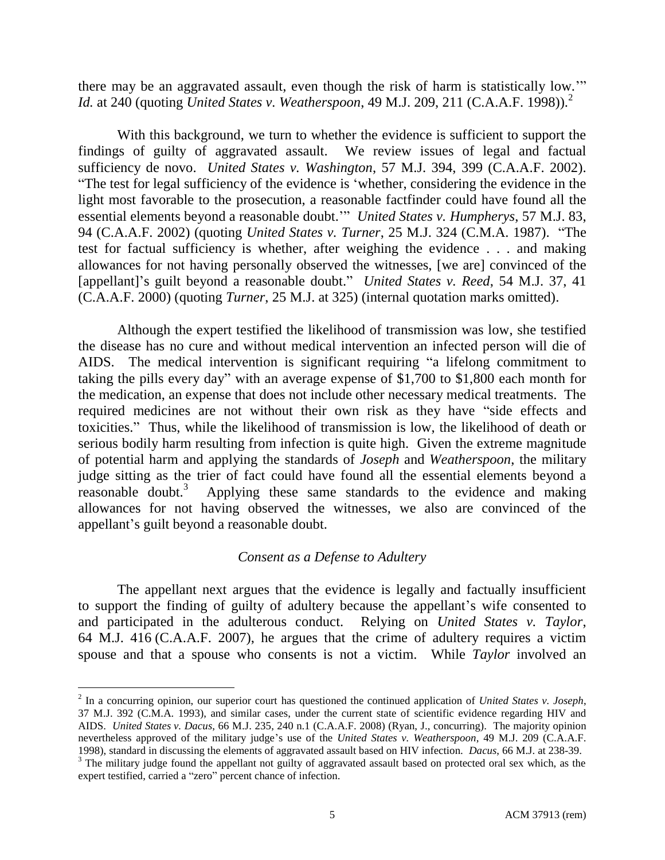there may be an aggravated assault, even though the risk of harm is statistically low.'" *Id.* at 240 (quoting *United States v. Weatherspoon*, 49 M.J. 209, 211 (C.A.A.F. 1998)).<sup>2</sup>

With this background, we turn to whether the evidence is sufficient to support the findings of guilty of aggravated assault. We review issues of legal and factual sufficiency de novo. *United States v. Washington*, 57 M.J. 394, 399 (C.A.A.F. 2002). "The test for legal sufficiency of the evidence is 'whether, considering the evidence in the light most favorable to the prosecution, a reasonable factfinder could have found all the essential elements beyond a reasonable doubt.'" *United States v. Humpherys*, 57 M.J. 83, 94 (C.A.A.F. 2002) (quoting *United States v. Turner*, 25 M.J. 324 (C.M.A. 1987). "The test for factual sufficiency is whether, after weighing the evidence . . . and making allowances for not having personally observed the witnesses, [we are] convinced of the [appellant]'s guilt beyond a reasonable doubt." *United States v. Reed*, 54 M.J. 37, 41 (C.A.A.F. 2000) (quoting *Turner*, 25 M.J. at 325) (internal quotation marks omitted).

Although the expert testified the likelihood of transmission was low, she testified the disease has no cure and without medical intervention an infected person will die of AIDS. The medical intervention is significant requiring "a lifelong commitment to taking the pills every day" with an average expense of \$1,700 to \$1,800 each month for the medication, an expense that does not include other necessary medical treatments. The required medicines are not without their own risk as they have "side effects and toxicities." Thus, while the likelihood of transmission is low, the likelihood of death or serious bodily harm resulting from infection is quite high. Given the extreme magnitude of potential harm and applying the standards of *Joseph* and *Weatherspoon*, the military judge sitting as the trier of fact could have found all the essential elements beyond a reasonable doubt.<sup>3</sup> Applying these same standards to the evidence and making allowances for not having observed the witnesses, we also are convinced of the appellant's guilt beyond a reasonable doubt.

# *Consent as a Defense to Adultery*

The appellant next argues that the evidence is legally and factually insufficient to support the finding of guilty of adultery because the appellant's wife consented to and participated in the adulterous conduct. Relying on *United States v. Taylor*, 64 M.J. 416 (C.A.A.F. 2007), he argues that the crime of adultery requires a victim spouse and that a spouse who consents is not a victim. While *Taylor* involved an

<sup>2</sup> In a concurring opinion, our superior court has questioned the continued application of *United States v. Joseph*, 37 M.J. 392 (C.M.A. 1993), and similar cases, under the current state of scientific evidence regarding HIV and AIDS. *United States v. Dacus*, 66 M.J. 235, 240 n.1 (C.A.A.F. 2008) (Ryan, J., concurring). The majority opinion nevertheless approved of the military judge's use of the *United States v. Weatherspoon*, 49 M.J. 209 (C.A.A.F. 1998), standard in discussing the elements of aggravated assault based on HIV infection. *Dacus*, 66 M.J. at 238-39.

<sup>&</sup>lt;sup>3</sup> The military judge found the appellant not guilty of aggravated assault based on protected oral sex which, as the expert testified, carried a "zero" percent chance of infection.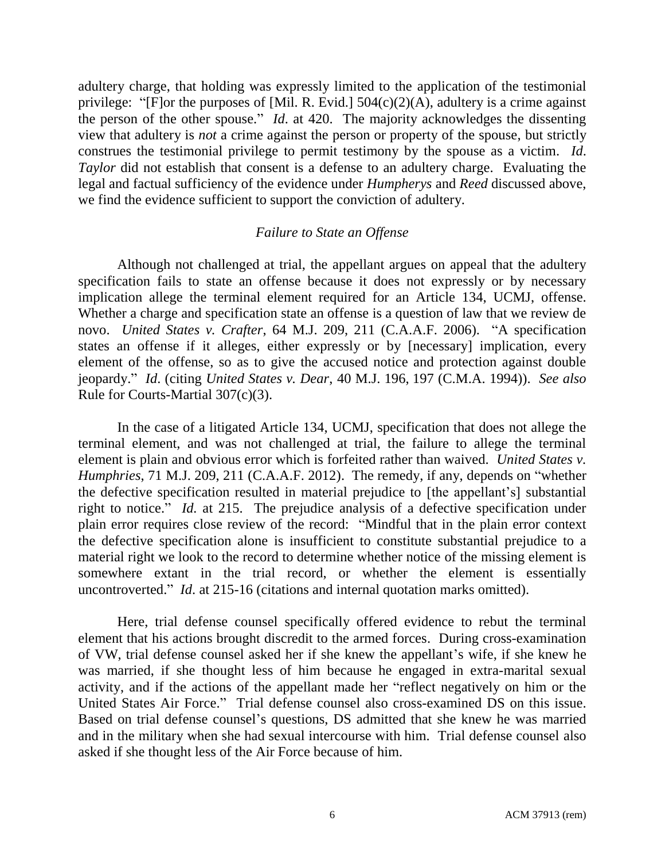adultery charge, that holding was expressly limited to the application of the testimonial privilege: "[F]or the purposes of [Mil. R. Evid.]  $504(c)(2)(A)$ , adultery is a crime against the person of the other spouse." *Id*. at 420. The majority acknowledges the dissenting view that adultery is *not* a crime against the person or property of the spouse, but strictly construes the testimonial privilege to permit testimony by the spouse as a victim. *Id*. *Taylor* did not establish that consent is a defense to an adultery charge. Evaluating the legal and factual sufficiency of the evidence under *Humpherys* and *Reed* discussed above, we find the evidence sufficient to support the conviction of adultery.

### *Failure to State an Offense*

Although not challenged at trial, the appellant argues on appeal that the adultery specification fails to state an offense because it does not expressly or by necessary implication allege the terminal element required for an Article 134, UCMJ, offense. Whether a charge and specification state an offense is a question of law that we review de novo. *United States v. Crafter*, 64 M.J. 209, 211 (C.A.A.F. 2006). "A specification states an offense if it alleges, either expressly or by [necessary] implication, every element of the offense, so as to give the accused notice and protection against double jeopardy." *Id*. (citing *United States v. Dear*, 40 M.J. 196, 197 (C.M.A. 1994)). *See also* Rule for Courts-Martial 307(c)(3).

In the case of a litigated Article 134, UCMJ, specification that does not allege the terminal element, and was not challenged at trial, the failure to allege the terminal element is plain and obvious error which is forfeited rather than waived. *United States v. Humphries*, 71 M.J. 209, 211 (C.A.A.F. 2012). The remedy, if any, depends on "whether the defective specification resulted in material prejudice to [the appellant's] substantial right to notice." *Id.* at 215. The prejudice analysis of a defective specification under plain error requires close review of the record: "Mindful that in the plain error context the defective specification alone is insufficient to constitute substantial prejudice to a material right we look to the record to determine whether notice of the missing element is somewhere extant in the trial record, or whether the element is essentially uncontroverted." *Id*. at 215-16 (citations and internal quotation marks omitted).

Here, trial defense counsel specifically offered evidence to rebut the terminal element that his actions brought discredit to the armed forces. During cross-examination of VW, trial defense counsel asked her if she knew the appellant's wife, if she knew he was married, if she thought less of him because he engaged in extra-marital sexual activity, and if the actions of the appellant made her "reflect negatively on him or the United States Air Force." Trial defense counsel also cross-examined DS on this issue. Based on trial defense counsel's questions, DS admitted that she knew he was married and in the military when she had sexual intercourse with him. Trial defense counsel also asked if she thought less of the Air Force because of him.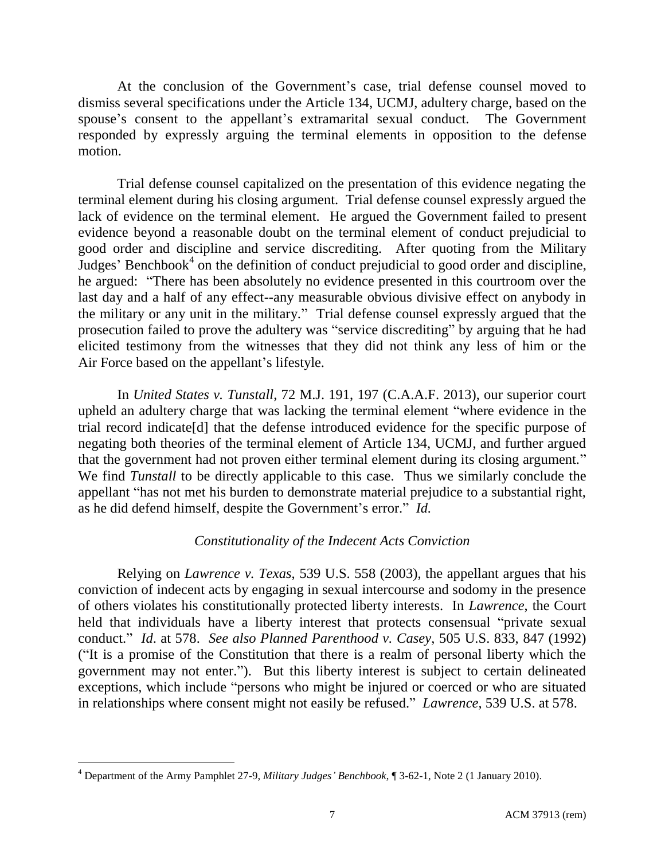At the conclusion of the Government's case, trial defense counsel moved to dismiss several specifications under the Article 134, UCMJ, adultery charge, based on the spouse's consent to the appellant's extramarital sexual conduct. The Government responded by expressly arguing the terminal elements in opposition to the defense motion.

Trial defense counsel capitalized on the presentation of this evidence negating the terminal element during his closing argument. Trial defense counsel expressly argued the lack of evidence on the terminal element. He argued the Government failed to present evidence beyond a reasonable doubt on the terminal element of conduct prejudicial to good order and discipline and service discrediting. After quoting from the Military Judges' Benchbook<sup>4</sup> on the definition of conduct prejudicial to good order and discipline, he argued: "There has been absolutely no evidence presented in this courtroom over the last day and a half of any effect--any measurable obvious divisive effect on anybody in the military or any unit in the military." Trial defense counsel expressly argued that the prosecution failed to prove the adultery was "service discrediting" by arguing that he had elicited testimony from the witnesses that they did not think any less of him or the Air Force based on the appellant's lifestyle.

In *United States v. Tunstall*, 72 M.J. 191, 197 (C.A.A.F. 2013), our superior court upheld an adultery charge that was lacking the terminal element "where evidence in the trial record indicate[d] that the defense introduced evidence for the specific purpose of negating both theories of the terminal element of Article 134, UCMJ, and further argued that the government had not proven either terminal element during its closing argument." We find *Tunstall* to be directly applicable to this case. Thus we similarly conclude the appellant "has not met his burden to demonstrate material prejudice to a substantial right, as he did defend himself, despite the Government's error." *Id.*

# *Constitutionality of the Indecent Acts Conviction*

Relying on *Lawrence v. Texas*, 539 U.S. 558 (2003), the appellant argues that his conviction of indecent acts by engaging in sexual intercourse and sodomy in the presence of others violates his constitutionally protected liberty interests. In *Lawrence*, the Court held that individuals have a liberty interest that protects consensual "private sexual conduct." *Id*. at 578. *See also Planned Parenthood v. Casey*, 505 U.S. 833, 847 (1992) ("It is a promise of the Constitution that there is a realm of personal liberty which the government may not enter."). But this liberty interest is subject to certain delineated exceptions, which include "persons who might be injured or coerced or who are situated in relationships where consent might not easily be refused." *Lawrence*, 539 U.S. at 578.

<sup>4</sup> Department of the Army Pamphlet 27-9, *Military Judges' Benchbook*, ¶ 3-62-1, Note 2 (1 January 2010).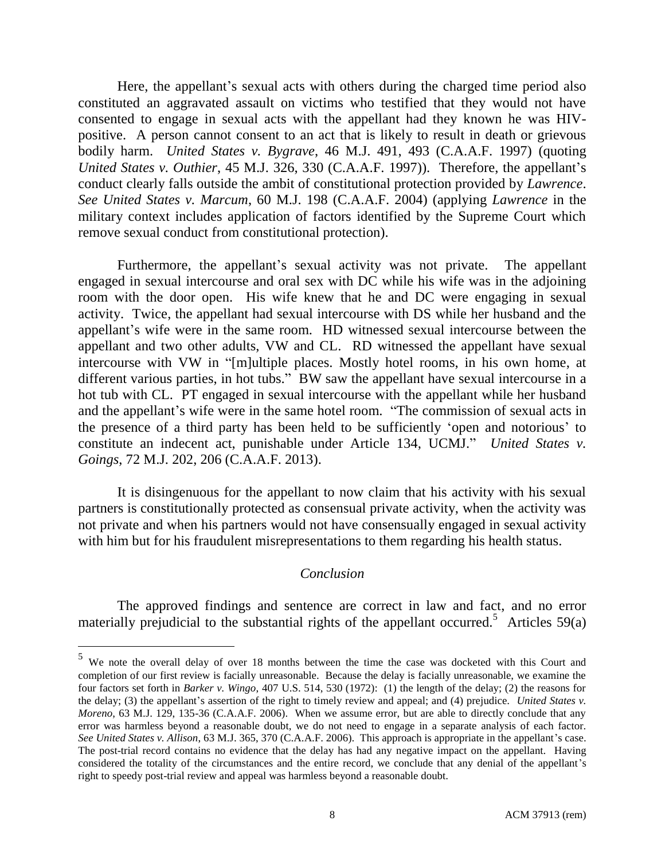Here, the appellant's sexual acts with others during the charged time period also constituted an aggravated assault on victims who testified that they would not have consented to engage in sexual acts with the appellant had they known he was HIVpositive. A person cannot consent to an act that is likely to result in death or grievous bodily harm. *United States v. Bygrave*, 46 M.J. 491, 493 (C.A.A.F. 1997) (quoting *United States v. Outhier*, 45 M.J. 326, 330 (C.A.A.F. 1997)). Therefore, the appellant's conduct clearly falls outside the ambit of constitutional protection provided by *Lawrence*. *See United States v. Marcum*, 60 M.J. 198 (C.A.A.F. 2004) (applying *Lawrence* in the military context includes application of factors identified by the Supreme Court which remove sexual conduct from constitutional protection).

Furthermore, the appellant's sexual activity was not private. The appellant engaged in sexual intercourse and oral sex with DC while his wife was in the adjoining room with the door open. His wife knew that he and DC were engaging in sexual activity. Twice, the appellant had sexual intercourse with DS while her husband and the appellant's wife were in the same room. HD witnessed sexual intercourse between the appellant and two other adults, VW and CL. RD witnessed the appellant have sexual intercourse with VW in "[m]ultiple places. Mostly hotel rooms, in his own home, at different various parties, in hot tubs." BW saw the appellant have sexual intercourse in a hot tub with CL. PT engaged in sexual intercourse with the appellant while her husband and the appellant's wife were in the same hotel room. "The commission of sexual acts in the presence of a third party has been held to be sufficiently 'open and notorious' to constitute an indecent act, punishable under Article 134, UCMJ." *United States v. Goings*, 72 M.J. 202, 206 (C.A.A.F. 2013).

It is disingenuous for the appellant to now claim that his activity with his sexual partners is constitutionally protected as consensual private activity, when the activity was not private and when his partners would not have consensually engaged in sexual activity with him but for his fraudulent misrepresentations to them regarding his health status.

### *Conclusion*

The approved findings and sentence are correct in law and fact, and no error materially prejudicial to the substantial rights of the appellant occurred.<sup>5</sup> Articles 59(a)

<sup>&</sup>lt;sup>5</sup> We note the overall delay of over 18 months between the time the case was docketed with this Court and completion of our first review is facially unreasonable. Because the delay is facially unreasonable, we examine the four factors set forth in *Barker v. Wingo*, 407 U.S. 514, 530 (1972): (1) the length of the delay; (2) the reasons for the delay; (3) the appellant's assertion of the right to timely review and appeal; and (4) prejudice. *United States v. Moreno*, 63 M.J. 129, 135-36 (C.A.A.F. 2006). When we assume error, but are able to directly conclude that any error was harmless beyond a reasonable doubt, we do not need to engage in a separate analysis of each factor. *See United States v. Allison*, 63 M.J. 365, 370 (C.A.A.F. 2006). This approach is appropriate in the appellant's case. The post-trial record contains no evidence that the delay has had any negative impact on the appellant. Having considered the totality of the circumstances and the entire record, we conclude that any denial of the appellant's right to speedy post-trial review and appeal was harmless beyond a reasonable doubt.